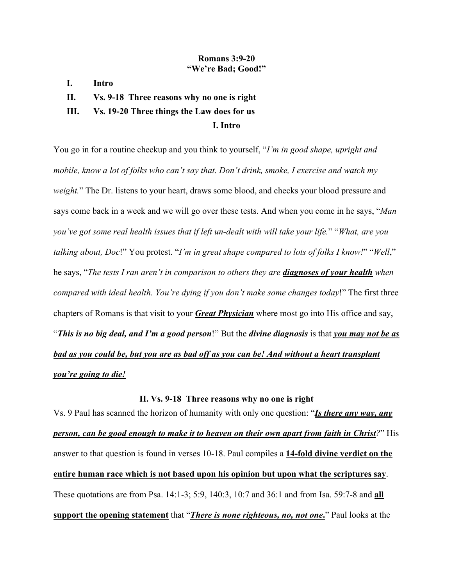## **Romans 3:9-20 "We're Bad; Good!"**

- **I. Intro**
- **II. Vs. 9-18 Three reasons why no one is right**

# **III. Vs. 19-20 Three things the Law does for us**

## **I. Intro**

You go in for a routine checkup and you think to yourself, "*I'm in good shape, upright and mobile, know a lot of folks who can't say that. Don't drink, smoke, I exercise and watch my weight.*" The Dr. listens to your heart, draws some blood, and checks your blood pressure and says come back in a week and we will go over these tests. And when you come in he says, "*Man you've got some real health issues that if left un-dealt with will take your life.*" "*What, are you talking about, Doc*!" You protest. "*I'm in great shape compared to lots of folks I know!*" "*Well*," he says, "*The tests I ran aren't in comparison to others they are diagnoses of your health when compared with ideal health. You're dying if you don't make some changes today*!" The first three chapters of Romans is that visit to your *Great Physician* where most go into His office and say, "*This is no big deal, and I'm a good person*!" But the *divine diagnosis* is that *you may not be as bad as you could be, but you are as bad off as you can be! And without a heart transplant you're going to die!*

#### **II. Vs. 9-18 Three reasons why no one is right**

Vs. 9 Paul has scanned the horizon of humanity with only one question: "*Is there any way, any person, can be good enough to make it to heaven on their own apart from faith in Christ?*" His answer to that question is found in verses 10-18. Paul compiles a **14-fold divine verdict on the entire human race which is not based upon his opinion but upon what the scriptures say**. These quotations are from Psa. 14:1-3; 5:9, 140:3, 10:7 and 36:1 and from Isa. 59:7-8 and **all support the opening statement** that "*There is none righteous, no, not one***.**" Paul looks at the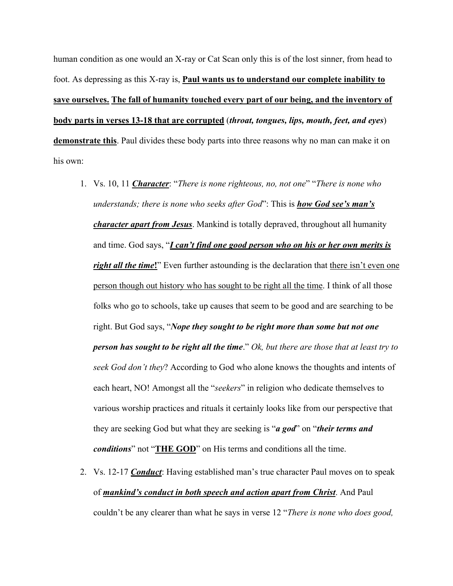human condition as one would an X-ray or Cat Scan only this is of the lost sinner, from head to foot. As depressing as this X-ray is, **Paul wants us to understand our complete inability to save ourselves. The fall of humanity touched every part of our being, and the inventory of body parts in verses 13-18 that are corrupted** (*throat, tongues, lips, mouth, feet, and eyes*) **demonstrate this**. Paul divides these body parts into three reasons why no man can make it on his own:

- 1. Vs. 10, 11 *Character*: "*There is none righteous, no, not one*" "*There is none who understands; there is none who seeks after God*": This is *how God see's man's character apart from Jesus*. Mankind is totally depraved, throughout all humanity and time. God says, "*I can't find one good person who on his or her own merits is right all the time!*" Even further astounding is the declaration that there isn't even one person though out history who has sought to be right all the time. I think of all those folks who go to schools, take up causes that seem to be good and are searching to be right. But God says, "*Nope they sought to be right more than some but not one person has sought to be right all the time*." *Ok, but there are those that at least try to seek God don't they*? According to God who alone knows the thoughts and intents of each heart, NO! Amongst all the "*seekers*" in religion who dedicate themselves to various worship practices and rituals it certainly looks like from our perspective that they are seeking God but what they are seeking is "*a god*" on "*their terms and conditions*" not "**THE GOD**" on His terms and conditions all the time.
- 2. Vs. 12-17 *Conduct*: Having established man's true character Paul moves on to speak of *mankind's conduct in both speech and action apart from Christ*. And Paul couldn't be any clearer than what he says in verse 12 "*There is none who does good,*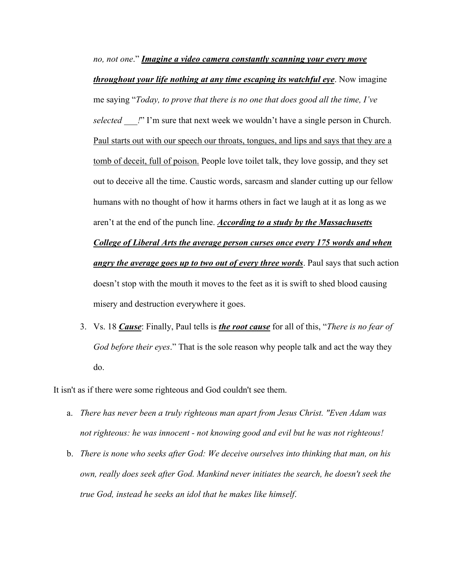*no, not one*." *Imagine a video camera constantly scanning your every move throughout your life nothing at any time escaping its watchful eye*. Now imagine me saying "*Today, to prove that there is no one that does good all the time, I've selected \_\_\_!*" I'm sure that next week we wouldn't have a single person in Church. Paul starts out with our speech our throats, tongues, and lips and says that they are a tomb of deceit, full of poison. People love toilet talk, they love gossip, and they set out to deceive all the time. Caustic words, sarcasm and slander cutting up our fellow humans with no thought of how it harms others in fact we laugh at it as long as we aren't at the end of the punch line. *According to a study by the Massachusetts College of Liberal Arts the average person curses once every 175 words and when angry the average goes up to two out of every three words*. Paul says that such action doesn't stop with the mouth it moves to the feet as it is swift to shed blood causing misery and destruction everywhere it goes.

3. Vs. 18 *Cause*: Finally, Paul tells is *the root cause* for all of this, "*There is no fear of God before their eyes*." That is the sole reason why people talk and act the way they do.

It isn't as if there were some righteous and God couldn't see them.

- a. *There has never been a truly righteous man apart from Jesus Christ. "Even Adam was not righteous: he was innocent - not knowing good and evil but he was not righteous!*
- b. *There is none who seeks after God: We deceive ourselves into thinking that man, on his own, really does seek after God. Mankind never initiates the search, he doesn't seek the true God, instead he seeks an idol that he makes like himself*.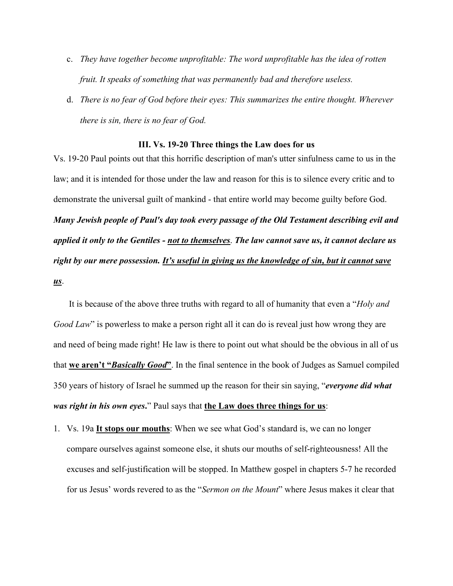- c. *They have together become unprofitable: The word unprofitable has the idea of rotten fruit. It speaks of something that was permanently bad and therefore useless.*
- d. *There is no fear of God before their eyes: This summarizes the entire thought. Wherever there is sin, there is no fear of God.*

#### **III. Vs. 19-20 Three things the Law does for us**

Vs. 19-20 Paul points out that this horrific description of man's utter sinfulness came to us in the law; and it is intended for those under the law and reason for this is to silence every critic and to demonstrate the universal guilt of mankind - that entire world may become guilty before God. *Many Jewish people of Paul's day took every passage of the Old Testament describing evil and applied it only to the Gentiles - not to themselves*. *The law cannot save us, it cannot declare us right by our mere possession. It's useful in giving us the knowledge of sin, but it cannot save us*.

It is because of the above three truths with regard to all of humanity that even a "*Holy and Good Law*" is powerless to make a person right all it can do is reveal just how wrong they are and need of being made right! He law is there to point out what should be the obvious in all of us that **we aren't "***Basically Good***"**. In the final sentence in the book of Judges as Samuel compiled 350 years of history of Israel he summed up the reason for their sin saying, "*everyone did what was right in his own eyes***.**" Paul says that **the Law does three things for us**:

1. Vs. 19a **It stops our mouths**: When we see what God's standard is, we can no longer compare ourselves against someone else, it shuts our mouths of self-righteousness! All the excuses and self-justification will be stopped. In Matthew gospel in chapters 5-7 he recorded for us Jesus' words revered to as the "*Sermon on the Mount*" where Jesus makes it clear that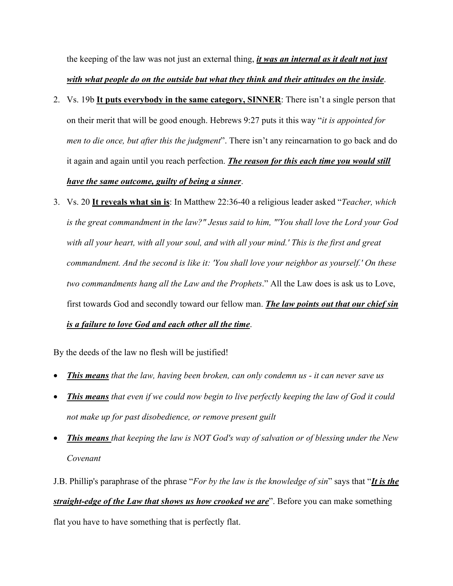the keeping of the law was not just an external thing, *it was an internal as it dealt not just with what people do on the outside but what they think and their attitudes on the inside*.

- 2. Vs. 19b **It puts everybody in the same category, SINNER**: There isn't a single person that on their merit that will be good enough. Hebrews 9:27 puts it this way "*it is appointed for men to die once, but after this the judgment*". There isn't any reincarnation to go back and do it again and again until you reach perfection. *The reason for this each time you would still have the same outcome, guilty of being a sinner*.
- 3. Vs. 20 **It reveals what sin is**: In Matthew 22:36-40 a religious leader asked "*Teacher, which is the great commandment in the law?" Jesus said to him, "'You shall love the Lord your God with all your heart, with all your soul, and with all your mind.' This is the first and great commandment. And the second is like it: 'You shall love your neighbor as yourself.' On these two commandments hang all the Law and the Prophets*." All the Law does is ask us to Love, first towards God and secondly toward our fellow man. *The law points out that our chief sin is a failure to love God and each other all the time*.

By the deeds of the law no flesh will be justified!

- *This means that the law, having been broken, can only condemn us - it can never save us*
- *This means that even if we could now begin to live perfectly keeping the law of God it could not make up for past disobedience, or remove present guilt*
- *This means that keeping the law is NOT God's way of salvation or of blessing under the New Covenant*

J.B. Phillip's paraphrase of the phrase "*For by the law is the knowledge of sin*" says that "*It is the straight-edge of the Law that shows us how crooked we are*". Before you can make something flat you have to have something that is perfectly flat.